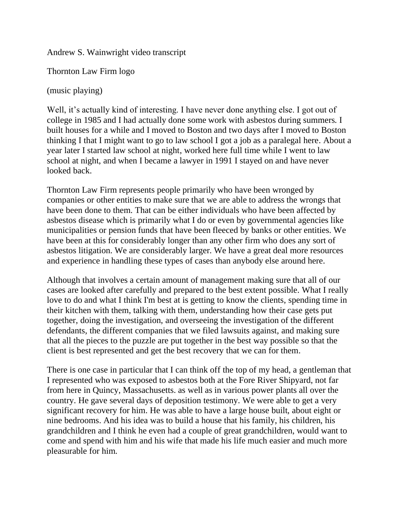Andrew S. Wainwright video transcript

Thornton Law Firm logo

(music playing)

Well, it's actually kind of interesting. I have never done anything else. I got out of college in 1985 and I had actually done some work with asbestos during summers. I built houses for a while and I moved to Boston and two days after I moved to Boston thinking I that I might want to go to law school I got a job as a paralegal here. About a year later I started law school at night, worked here full time while I went to law school at night, and when I became a lawyer in 1991 I stayed on and have never looked back.

Thornton Law Firm represents people primarily who have been wronged by companies or other entities to make sure that we are able to address the wrongs that have been done to them. That can be either individuals who have been affected by asbestos disease which is primarily what I do or even by governmental agencies like municipalities or pension funds that have been fleeced by banks or other entities. We have been at this for considerably longer than any other firm who does any sort of asbestos litigation. We are considerably larger. We have a great deal more resources and experience in handling these types of cases than anybody else around here.

Although that involves a certain amount of management making sure that all of our cases are looked after carefully and prepared to the best extent possible. What I really love to do and what I think I'm best at is getting to know the clients, spending time in their kitchen with them, talking with them, understanding how their case gets put together, doing the investigation, and overseeing the investigation of the different defendants, the different companies that we filed lawsuits against, and making sure that all the pieces to the puzzle are put together in the best way possible so that the client is best represented and get the best recovery that we can for them.

There is one case in particular that I can think off the top of my head, a gentleman that I represented who was exposed to asbestos both at the Fore River Shipyard, not far from here in Quincy, Massachusetts. as well as in various power plants all over the country. He gave several days of deposition testimony. We were able to get a very significant recovery for him. He was able to have a large house built, about eight or nine bedrooms. And his idea was to build a house that his family, his children, his grandchildren and I think he even had a couple of great grandchildren, would want to come and spend with him and his wife that made his life much easier and much more pleasurable for him.